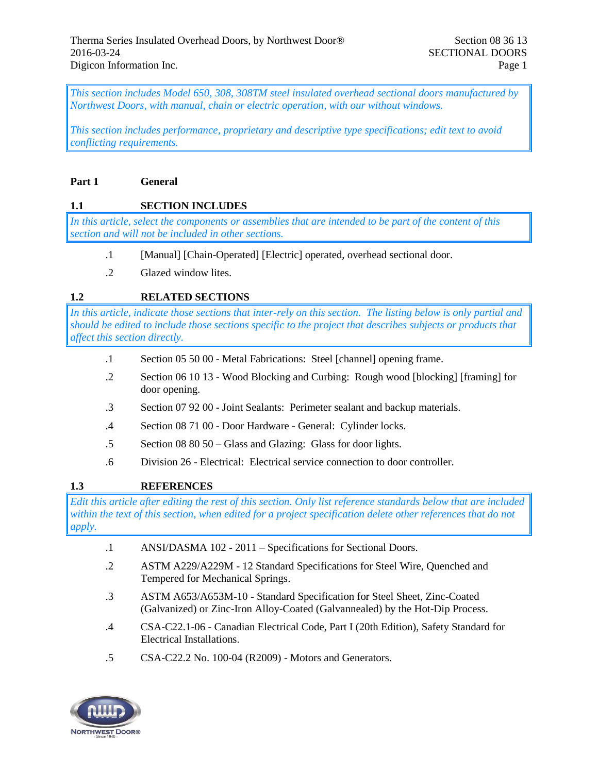*This section includes Model 650, 308, 308TM steel insulated overhead sectional doors manufactured by Northwest Doors, with manual, chain or electric operation, with our without windows.* 

*This section includes performance, proprietary and descriptive type specifications; edit text to avoid conflicting requirements.* 

#### **Part 1 General**

### **1.1 SECTION INCLUDES**

*In this article, select the components or assemblies that are intended to be part of the content of this section and will not be included in other sections.*

- .1 [Manual] [Chain-Operated] [Electric] operated, overhead sectional door.
- .2 Glazed window lites.

### **1.2 RELATED SECTIONS**

*In this article, indicate those sections that inter-rely on this section. The listing below is only partial and should be edited to include those sections specific to the project that describes subjects or products that affect this section directly.*

- .1 Section 05 50 00 Metal Fabrications: Steel [channel] opening frame.
- .2 Section 06 10 13 Wood Blocking and Curbing: Rough wood [blocking] [framing] for door opening.
- .3 Section 07 92 00 Joint Sealants: Perimeter sealant and backup materials.
- .4 Section 08 71 00 Door Hardware General: Cylinder locks.
- .5 Section 08 80 50 Glass and Glazing: Glass for door lights.
- .6 Division 26 Electrical: Electrical service connection to door controller.

### **1.3 REFERENCES**

*Edit this article after editing the rest of this section. Only list reference standards below that are included within the text of this section, when edited for a project specification delete other references that do not apply.*

- .1 ANSI/DASMA 102 2011 Specifications for Sectional Doors.
- .2 ASTM A229/A229M 12 Standard Specifications for Steel Wire, Quenched and Tempered for Mechanical Springs.
- .3 ASTM A653/A653M-10 Standard Specification for Steel Sheet, Zinc-Coated (Galvanized) or Zinc-Iron Alloy-Coated (Galvannealed) by the Hot-Dip Process.
- .4 CSA-C22.1-06 Canadian Electrical Code, Part I (20th Edition), Safety Standard for Electrical Installations.
- .5 CSA-C22.2 No. 100-04 (R2009) Motors and Generators.

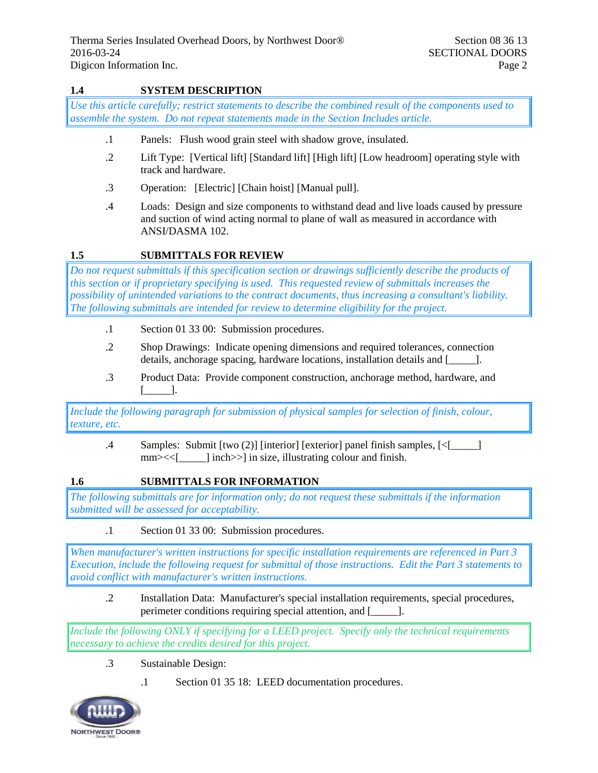# **1.4 SYSTEM DESCRIPTION**

*Use this article carefully; restrict statements to describe the combined result of the components used to assemble the system. Do not repeat statements made in the Section Includes article.*

- .1 Panels: Flush wood grain steel with shadow grove, insulated.
- .2 Lift Type: [Vertical lift] [Standard lift] [High lift] [Low headroom] operating style with track and hardware.
- .3 Operation: [Electric] [Chain hoist] [Manual pull].
- .4 Loads: Design and size components to withstand dead and live loads caused by pressure and suction of wind acting normal to plane of wall as measured in accordance with ANSI/DASMA 102.

### **1.5 SUBMITTALS FOR REVIEW**

*Do not request submittals if this specification section or drawings sufficiently describe the products of this section or if proprietary specifying is used. This requested review of submittals increases the possibility of unintended variations to the contract documents, thus increasing a consultant's liability. The following submittals are intended for review to determine eligibility for the project.*

- .1 Section 01 33 00: Submission procedures.
- .2 Shop Drawings: Indicate opening dimensions and required tolerances, connection details, anchorage spacing, hardware locations, installation details and [\_\_\_\_\_].
- .3 Product Data: Provide component construction, anchorage method, hardware, and [\_\_\_\_\_].

*Include the following paragraph for submission of physical samples for selection of finish, colour, texture, etc.*

.4 Samples: Submit [two (2)] [interior] [exterior] panel finish samples, [<[\_\_\_\_\_] mm $\ge$  | inch >> | in size, illustrating colour and finish.

#### **1.6 SUBMITTALS FOR INFORMATION**

*The following submittals are for information only; do not request these submittals if the information submitted will be assessed for acceptability.*

.1 Section 01 33 00: Submission procedures.

*When manufacturer's written instructions for specific installation requirements are referenced in Part 3 Execution, include the following request for submittal of those instructions. Edit the Part 3 statements to avoid conflict with manufacturer's written instructions.*

.2 Installation Data: Manufacturer's special installation requirements, special procedures, perimeter conditions requiring special attention, and [\_\_\_\_\_].

*Include the following ONLY if specifying for a LEED project. Specify only the technical requirements necessary to achieve the credits desired for this project.*

- .3 Sustainable Design:
	- .1 Section 01 35 18: LEED documentation procedures.

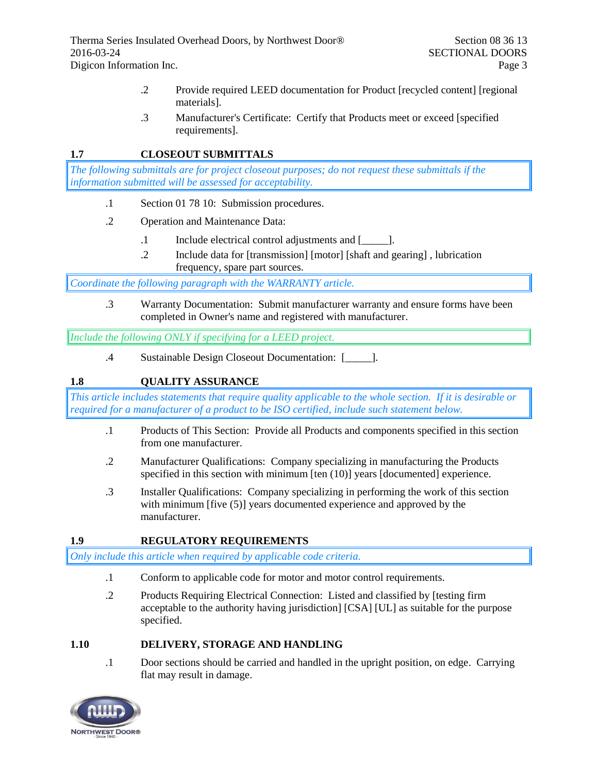- .2 Provide required LEED documentation for Product [recycled content] [regional materials].
- .3 Manufacturer's Certificate: Certify that Products meet or exceed [specified requirements].

### **1.7 CLOSEOUT SUBMITTALS**

*The following submittals are for project closeout purposes; do not request these submittals if the information submitted will be assessed for acceptability.*

- .1 Section 01 78 10: Submission procedures.
- .2 Operation and Maintenance Data:
	- .1 Include electrical control adjustments and [\_\_\_\_\_].
	- .2 Include data for [transmission] [motor] [shaft and gearing] , lubrication frequency, spare part sources.

*Coordinate the following paragraph with the WARRANTY article.*

.3 Warranty Documentation: Submit manufacturer warranty and ensure forms have been completed in Owner's name and registered with manufacturer.

*Include the following ONLY if specifying for a LEED project.*

.4 Sustainable Design Closeout Documentation: [\_\_\_\_\_].

# **1.8 QUALITY ASSURANCE**

*This article includes statements that require quality applicable to the whole section. If it is desirable or required for a manufacturer of a product to be ISO certified, include such statement below.*

- .1 Products of This Section: Provide all Products and components specified in this section from one manufacturer.
- .2 Manufacturer Qualifications: Company specializing in manufacturing the Products specified in this section with minimum [ten (10)] years [documented] experience.
- .3 Installer Qualifications: Company specializing in performing the work of this section with minimum [five (5)] years documented experience and approved by the manufacturer.

### **1.9 REGULATORY REQUIREMENTS**

*Only include this article when required by applicable code criteria.*

- .1 Conform to applicable code for motor and motor control requirements.
- .2 Products Requiring Electrical Connection: Listed and classified by [testing firm acceptable to the authority having jurisdiction] [CSA] [UL] as suitable for the purpose specified.

### **1.10 DELIVERY, STORAGE AND HANDLING**

.1 Door sections should be carried and handled in the upright position, on edge. Carrying flat may result in damage.

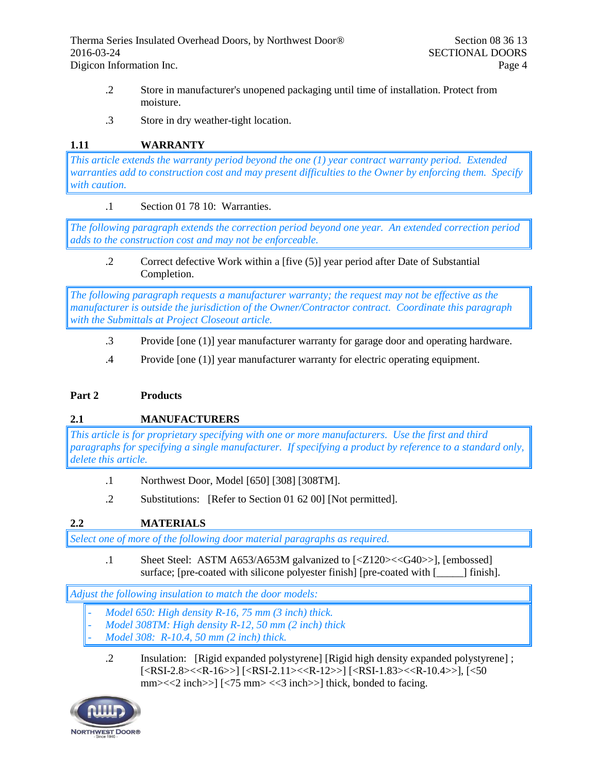- .2 Store in manufacturer's unopened packaging until time of installation. Protect from moisture.
- .3 Store in dry weather-tight location.

# **1.11 WARRANTY**

*This article extends the warranty period beyond the one (1) year contract warranty period. Extended warranties add to construction cost and may present difficulties to the Owner by enforcing them. Specify with caution.*

### .1 Section 01 78 10: Warranties.

*The following paragraph extends the correction period beyond one year. An extended correction period adds to the construction cost and may not be enforceable.*

.2 Correct defective Work within a [five (5)] year period after Date of Substantial Completion.

*The following paragraph requests a manufacturer warranty; the request may not be effective as the manufacturer is outside the jurisdiction of the Owner/Contractor contract. Coordinate this paragraph with the Submittals at Project Closeout article.*

- .3 Provide [one (1)] year manufacturer warranty for garage door and operating hardware.
- .4 Provide [one (1)] year manufacturer warranty for electric operating equipment.

### **Part 2 Products**

# **2.1 MANUFACTURERS**

*This article is for proprietary specifying with one or more manufacturers. Use the first and third paragraphs for specifying a single manufacturer. If specifying a product by reference to a standard only, delete this article.*

- .1 Northwest Door, Model [650] [308] [308TM].
- .2 Substitutions: [Refer to Section 01 62 00] [Not permitted].

# **2.2 MATERIALS**

*Select one of more of the following door material paragraphs as required.*

.1 Sheet Steel: ASTM A653/A653M galvanized to [<Z120><<G40>>], [embossed] surface; [pre-coated with silicone polyester finish] [pre-coated with [\_\_\_\_\_] finish].

### *Adjust the following insulation to match the door models:*

- *Model 650: High density R-16, 75 mm (3 inch) thick.*
- *Model 308TM: High density R-12, 50 mm (2 inch) thick*
- *Model 308: R-10.4, 50 mm (2 inch) thick.*
	- .2 Insulation: [Rigid expanded polystyrene] [Rigid high density expanded polystyrene] ; [<RSI-2.8><<R-16>>] [<RSI-2.11><<R-12>>] [<RSI-1.83><<R-10.4>>], [<50 mm><<2 inch>>] [<75 mm> <<3 inch>>] thick, bonded to facing.

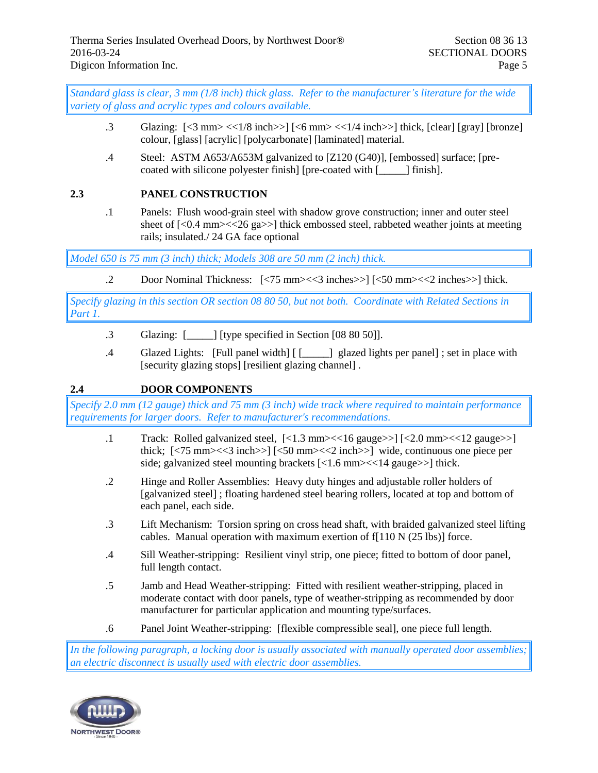*Standard glass is clear, 3 mm (1/8 inch) thick glass. Refer to the manufacturer's literature for the wide variety of glass and acrylic types and colours available.*

- .3 Glazing:  $\left[\langle 3 \text{ mm}\rangle \langle \langle 1/8 \text{ inch}\rangle \rangle \right] \left[\langle 6 \text{ mm}\rangle \langle \langle 1/4 \text{ inch}\rangle \rangle \right]$  thick,  $\left[\text{clear}\right]$   $\left[\text{gray}\right]$  [bronze] colour, [glass] [acrylic] [polycarbonate] [laminated] material.
- .4 Steel: ASTM A653/A653M galvanized to [Z120 (G40)], [embossed] surface; [precoated with silicone polyester finish] [pre-coated with [\_\_\_\_\_\_] finish].

### **2.3 PANEL CONSTRUCTION**

.1 Panels: Flush wood-grain steel with shadow grove construction; inner and outer steel sheet of [<0.4 mm><<26 ga>>] thick embossed steel, rabbeted weather joints at meeting rails; insulated./ 24 GA face optional

*Model 650 is 75 mm (3 inch) thick; Models 308 are 50 mm (2 inch) thick.*

.2 Door Nominal Thickness: [<75 mm><<3 inches>>] [<50 mm><<2 inches>>] thick.

*Specify glazing in this section OR section 08 80 50, but not both. Coordinate with Related Sections in Part 1.*

- .3 Glazing: [\_\_\_\_\_] [type specified in Section [08 80 50]].
- .4 Glazed Lights: [Full panel width] [ [\_\_\_\_\_] glazed lights per panel] ; set in place with [security glazing stops] [resilient glazing channel] .

# **2.4 DOOR COMPONENTS**

*Specify 2.0 mm (12 gauge) thick and 75 mm (3 inch) wide track where required to maintain performance requirements for larger doors. Refer to manufacturer's recommendations.* 

- .1 Track: Rolled galvanized steel,  $\lceil$ <1.3 mm> $\lt$ <16 gauge>> $\lceil$  $\lt$   $\lt$ 1.0 mm> $\lt$  $\lt$ 12 gauge>> $\rceil$ thick;  $\left[\frac{5}{3} \text{ mm}\right] \leq 3 \text{ inch} > \left[\frac{50 \text{ mm}}{52} \text{ inch}\right] \leq 2 \text{ inch} > \left[\text{ width} \right]$  wide, continuous one piece per side; galvanized steel mounting brackets  $\lceil$ <1.6 mm> $\lt$  <14 gauge>> $\rceil$  thick.
- .2 Hinge and Roller Assemblies: Heavy duty hinges and adjustable roller holders of [galvanized steel] ; floating hardened steel bearing rollers, located at top and bottom of each panel, each side.
- .3 Lift Mechanism: Torsion spring on cross head shaft, with braided galvanized steel lifting cables. Manual operation with maximum exertion of  $f[110 N (25 lbs)]$  force.
- .4 Sill Weather-stripping: Resilient vinyl strip, one piece; fitted to bottom of door panel, full length contact.
- .5 Jamb and Head Weather-stripping: Fitted with resilient weather-stripping, placed in moderate contact with door panels, type of weather-stripping as recommended by door manufacturer for particular application and mounting type/surfaces.
- .6 Panel Joint Weather-stripping: [flexible compressible seal], one piece full length.

*In the following paragraph, a locking door is usually associated with manually operated door assemblies; an electric disconnect is usually used with electric door assemblies.*

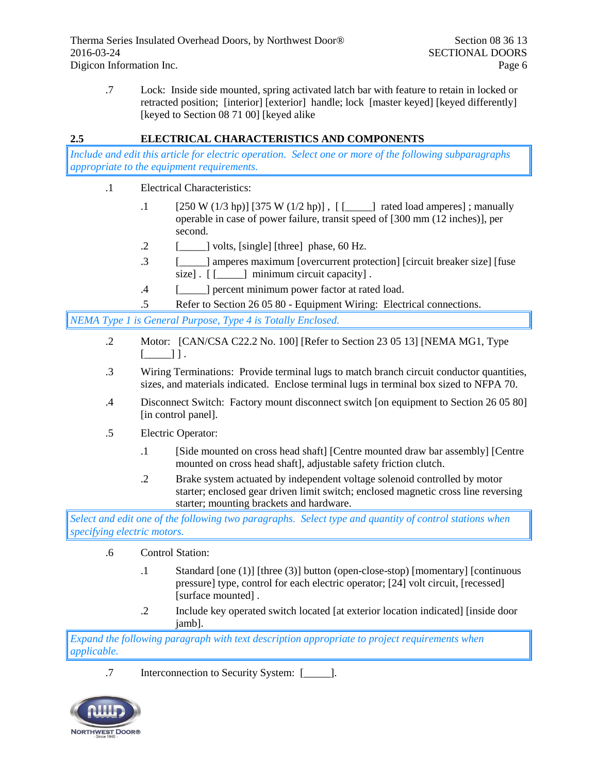.7 Lock: Inside side mounted, spring activated latch bar with feature to retain in locked or retracted position; [interior] [exterior] handle; lock [master keyed] [keyed differently] [keyed to Section 08 71 00] [keyed alike]

# **2.5 ELECTRICAL CHARACTERISTICS AND COMPONENTS**

*Include and edit this article for electric operation. Select one or more of the following subparagraphs appropriate to the equipment requirements.*

- .1 Electrical Characteristics:
	- .1 [250 W (1/3 hp)] [375 W (1/2 hp)] , [ [\_\_\_\_\_] rated load amperes] ; manually operable in case of power failure, transit speed of [300 mm (12 inches)], per second.
	- $\lbrack 2 \rbrack$  [\_\_\_\_\_] volts, [single] [three] phase, 60 Hz.
	- .3 [\_\_\_\_\_] amperes maximum [overcurrent protection] [circuit breaker size] [fuse size].  $\begin{bmatrix} \end{bmatrix}$  minimum circuit capacity].
	- .4 [\_\_\_\_\_] percent minimum power factor at rated load.
	- .5 Refer to Section 26 05 80 Equipment Wiring: Electrical connections.

*NEMA Type 1 is General Purpose, Type 4 is Totally Enclosed.*

- .2 Motor: [CAN/CSA C22.2 No. 100] [Refer to Section 23 05 13] [NEMA MG1, Type  $[\underline{\hspace{1cm}}]$  ]  $]$ .
- .3 Wiring Terminations: Provide terminal lugs to match branch circuit conductor quantities, sizes, and materials indicated. Enclose terminal lugs in terminal box sized to NFPA 70.
- .4 Disconnect Switch: Factory mount disconnect switch [on equipment to Section 26 05 80] [in control panel].
- .5 Electric Operator:
	- .1 [Side mounted on cross head shaft] [Centre mounted draw bar assembly] [Centre mounted on cross head shaft], adjustable safety friction clutch.
	- .2 Brake system actuated by independent voltage solenoid controlled by motor starter; enclosed gear driven limit switch; enclosed magnetic cross line reversing starter; mounting brackets and hardware.

*Select and edit one of the following two paragraphs. Select type and quantity of control stations when specifying electric motors.*

- .6 Control Station:
	- .1 Standard [one (1)] [three (3)] button (open-close-stop) [momentary] [continuous pressure] type, control for each electric operator; [24] volt circuit, [recessed] [surface mounted] .
	- .2 Include key operated switch located [at exterior location indicated] [inside door jamb].

*Expand the following paragraph with text description appropriate to project requirements when applicable.*

.7 Interconnection to Security System: [\_\_\_\_\_].

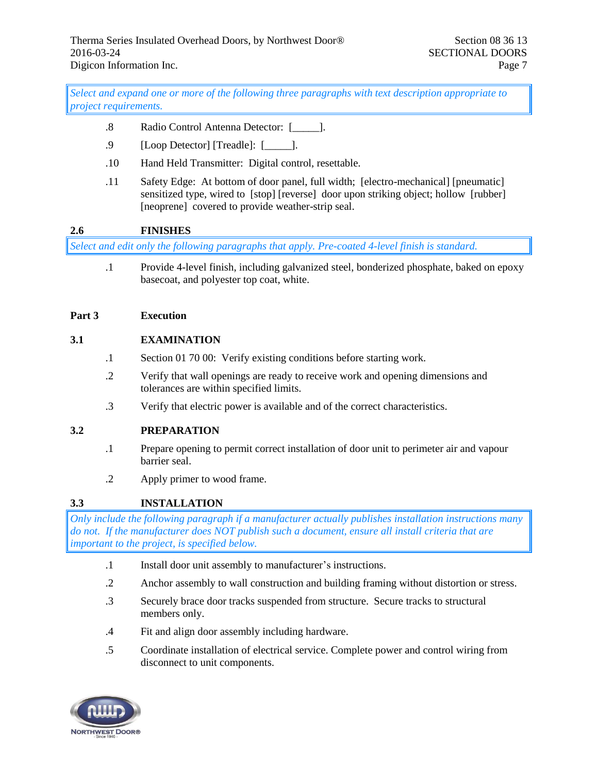*Select and expand one or more of the following three paragraphs with text description appropriate to project requirements.*

- .8 Radio Control Antenna Detector: [\_\_\_\_\_].
- .9 [Loop Detector] [Treadle]: [\_\_\_\_\_].
- .10 Hand Held Transmitter: Digital control, resettable.
- .11 Safety Edge: At bottom of door panel, full width; [electro-mechanical] [pneumatic] sensitized type, wired to [stop] [reverse] door upon striking object; hollow [rubber] [neoprene] covered to provide weather-strip seal.

## **2.6 FINISHES**

*Select and edit only the following paragraphs that apply. Pre-coated 4-level finish is standard.*

.1 Provide 4-level finish, including galvanized steel, bonderized phosphate, baked on epoxy basecoat, and polyester top coat, white.

#### **Part 3 Execution**

#### **3.1 EXAMINATION**

- .1 Section 01 70 00: Verify existing conditions before starting work.
- .2 Verify that wall openings are ready to receive work and opening dimensions and tolerances are within specified limits.
- .3 Verify that electric power is available and of the correct characteristics.

### **3.2 PREPARATION**

- .1 Prepare opening to permit correct installation of door unit to perimeter air and vapour barrier seal.
- .2 Apply primer to wood frame.

### **3.3 INSTALLATION**

*Only include the following paragraph if a manufacturer actually publishes installation instructions many do not. If the manufacturer does NOT publish such a document, ensure all install criteria that are important to the project, is specified below.*

- .1 Install door unit assembly to manufacturer's instructions.
- .2 Anchor assembly to wall construction and building framing without distortion or stress.
- .3 Securely brace door tracks suspended from structure. Secure tracks to structural members only.
- .4 Fit and align door assembly including hardware.
- .5 Coordinate installation of electrical service. Complete power and control wiring from disconnect to unit components.